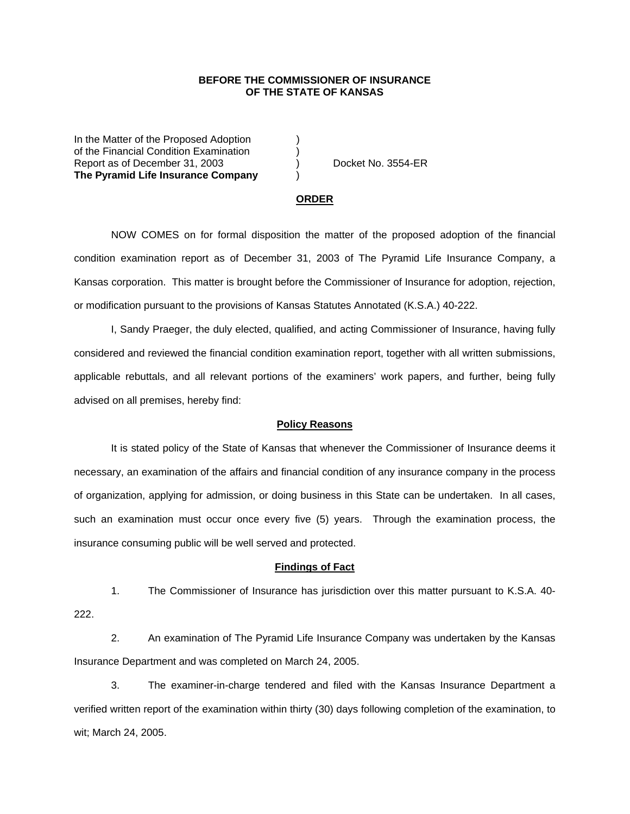## **BEFORE THE COMMISSIONER OF INSURANCE OF THE STATE OF KANSAS**

In the Matter of the Proposed Adoption of the Financial Condition Examination ) Report as of December 31, 2003 (a) Docket No. 3554-ER **The Pyramid Life Insurance Company** )

#### **ORDER**

 NOW COMES on for formal disposition the matter of the proposed adoption of the financial condition examination report as of December 31, 2003 of The Pyramid Life Insurance Company, a Kansas corporation. This matter is brought before the Commissioner of Insurance for adoption, rejection, or modification pursuant to the provisions of Kansas Statutes Annotated (K.S.A.) 40-222.

 I, Sandy Praeger, the duly elected, qualified, and acting Commissioner of Insurance, having fully considered and reviewed the financial condition examination report, together with all written submissions, applicable rebuttals, and all relevant portions of the examiners' work papers, and further, being fully advised on all premises, hereby find:

### **Policy Reasons**

 It is stated policy of the State of Kansas that whenever the Commissioner of Insurance deems it necessary, an examination of the affairs and financial condition of any insurance company in the process of organization, applying for admission, or doing business in this State can be undertaken. In all cases, such an examination must occur once every five (5) years. Through the examination process, the insurance consuming public will be well served and protected.

#### **Findings of Fact**

 1. The Commissioner of Insurance has jurisdiction over this matter pursuant to K.S.A. 40- 222.

 2. An examination of The Pyramid Life Insurance Company was undertaken by the Kansas Insurance Department and was completed on March 24, 2005.

 3. The examiner-in-charge tendered and filed with the Kansas Insurance Department a verified written report of the examination within thirty (30) days following completion of the examination, to wit; March 24, 2005.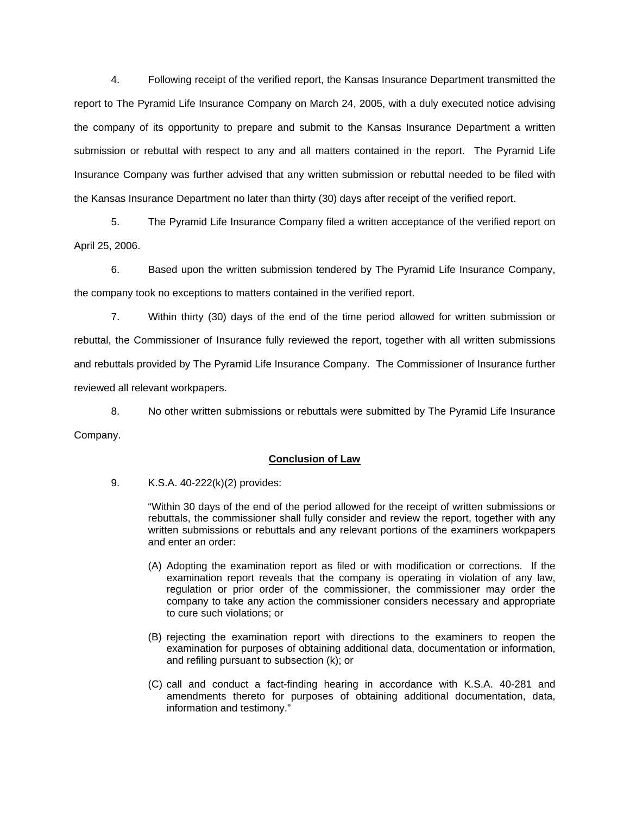4. Following receipt of the verified report, the Kansas Insurance Department transmitted the report to The Pyramid Life Insurance Company on March 24, 2005, with a duly executed notice advising the company of its opportunity to prepare and submit to the Kansas Insurance Department a written submission or rebuttal with respect to any and all matters contained in the report. The Pyramid Life Insurance Company was further advised that any written submission or rebuttal needed to be filed with the Kansas Insurance Department no later than thirty (30) days after receipt of the verified report.

 5. The Pyramid Life Insurance Company filed a written acceptance of the verified report on April 25, 2006.

 6. Based upon the written submission tendered by The Pyramid Life Insurance Company, the company took no exceptions to matters contained in the verified report.

 7. Within thirty (30) days of the end of the time period allowed for written submission or rebuttal, the Commissioner of Insurance fully reviewed the report, together with all written submissions and rebuttals provided by The Pyramid Life Insurance Company. The Commissioner of Insurance further reviewed all relevant workpapers.

 8. No other written submissions or rebuttals were submitted by The Pyramid Life Insurance Company.

## **Conclusion of Law**

9. K.S.A. 40-222(k)(2) provides:

"Within 30 days of the end of the period allowed for the receipt of written submissions or rebuttals, the commissioner shall fully consider and review the report, together with any written submissions or rebuttals and any relevant portions of the examiners workpapers and enter an order:

- (A) Adopting the examination report as filed or with modification or corrections. If the examination report reveals that the company is operating in violation of any law, regulation or prior order of the commissioner, the commissioner may order the company to take any action the commissioner considers necessary and appropriate to cure such violations; or
- (B) rejecting the examination report with directions to the examiners to reopen the examination for purposes of obtaining additional data, documentation or information, and refiling pursuant to subsection (k); or
- (C) call and conduct a fact-finding hearing in accordance with K.S.A. 40-281 and amendments thereto for purposes of obtaining additional documentation, data, information and testimony."